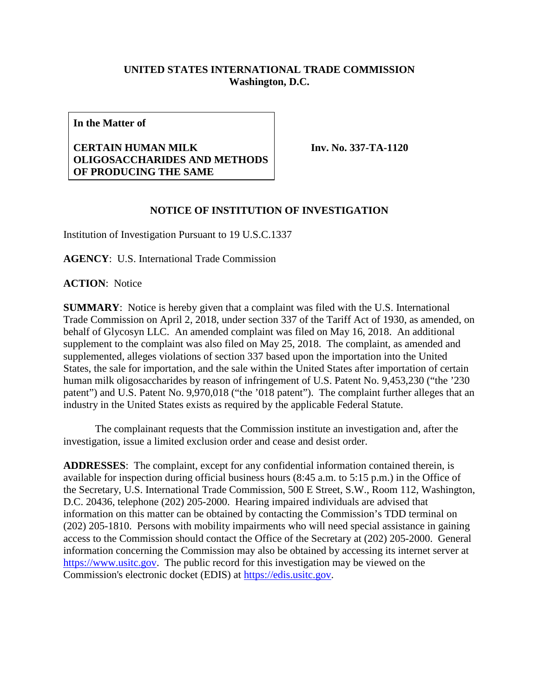## **UNITED STATES INTERNATIONAL TRADE COMMISSION Washington, D.C.**

**In the Matter of**

## **CERTAIN HUMAN MILK OLIGOSACCHARIDES AND METHODS OF PRODUCING THE SAME**

**Inv. No. 337-TA-1120**

## **NOTICE OF INSTITUTION OF INVESTIGATION**

Institution of Investigation Pursuant to 19 U.S.C.1337

**AGENCY**: U.S. International Trade Commission

**ACTION**: Notice

**SUMMARY**: Notice is hereby given that a complaint was filed with the U.S. International Trade Commission on April 2, 2018, under section 337 of the Tariff Act of 1930, as amended, on behalf of Glycosyn LLC. An amended complaint was filed on May 16, 2018. An additional supplement to the complaint was also filed on May 25, 2018. The complaint, as amended and supplemented, alleges violations of section 337 based upon the importation into the United States, the sale for importation, and the sale within the United States after importation of certain human milk oligosaccharides by reason of infringement of U.S. Patent No. 9,453,230 ("the '230 patent") and U.S. Patent No. 9,970,018 ("the '018 patent"). The complaint further alleges that an industry in the United States exists as required by the applicable Federal Statute.

The complainant requests that the Commission institute an investigation and, after the investigation, issue a limited exclusion order and cease and desist order.

**ADDRESSES**: The complaint, except for any confidential information contained therein, is available for inspection during official business hours (8:45 a.m. to 5:15 p.m.) in the Office of the Secretary, U.S. International Trade Commission, 500 E Street, S.W., Room 112, Washington, D.C. 20436, telephone (202) 205-2000. Hearing impaired individuals are advised that information on this matter can be obtained by contacting the Commission's TDD terminal on (202) 205-1810. Persons with mobility impairments who will need special assistance in gaining access to the Commission should contact the Office of the Secretary at (202) 205-2000. General information concerning the Commission may also be obtained by accessing its internet server at [https://www.usitc.gov.](https://www.usitc.gov/) The public record for this investigation may be viewed on the Commission's electronic docket (EDIS) at [https://edis.usitc.gov.](https://edis.usitc.gov/)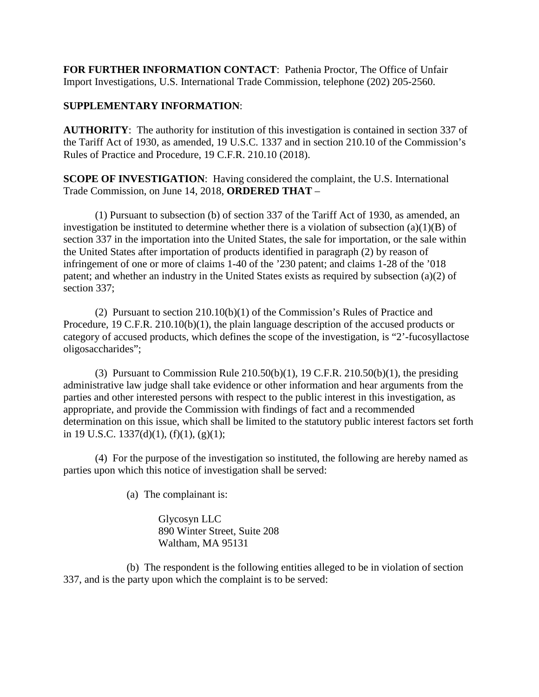**FOR FURTHER INFORMATION CONTACT**: Pathenia Proctor, The Office of Unfair Import Investigations, U.S. International Trade Commission, telephone (202) 205-2560.

## **SUPPLEMENTARY INFORMATION**:

**AUTHORITY**: The authority for institution of this investigation is contained in section 337 of the Tariff Act of 1930, as amended, 19 U.S.C. 1337 and in section 210.10 of the Commission's Rules of Practice and Procedure, 19 C.F.R. 210.10 (2018).

**SCOPE OF INVESTIGATION**: Having considered the complaint, the U.S. International Trade Commission, on June 14, 2018, **ORDERED THAT** –

(1) Pursuant to subsection (b) of section 337 of the Tariff Act of 1930, as amended, an investigation be instituted to determine whether there is a violation of subsection (a)(1)(B) of section 337 in the importation into the United States, the sale for importation, or the sale within the United States after importation of products identified in paragraph (2) by reason of infringement of one or more of claims 1-40 of the '230 patent; and claims 1-28 of the '018 patent; and whether an industry in the United States exists as required by subsection (a)(2) of section 337;

(2) Pursuant to section 210.10(b)(1) of the Commission's Rules of Practice and Procedure, 19 C.F.R. 210.10(b)(1), the plain language description of the accused products or category of accused products, which defines the scope of the investigation, is "2'-fucosyllactose oligosaccharides";

(3) Pursuant to Commission Rule 210.50(b)(1), 19 C.F.R. 210.50(b)(1), the presiding administrative law judge shall take evidence or other information and hear arguments from the parties and other interested persons with respect to the public interest in this investigation, as appropriate, and provide the Commission with findings of fact and a recommended determination on this issue, which shall be limited to the statutory public interest factors set forth in 19 U.S.C. 1337(d)(1),  $(f)(1)$ ,  $(g)(1)$ ;

(4) For the purpose of the investigation so instituted, the following are hereby named as parties upon which this notice of investigation shall be served:

(a) The complainant is:

Glycosyn LLC 890 Winter Street, Suite 208 Waltham, MA 95131

(b) The respondent is the following entities alleged to be in violation of section 337, and is the party upon which the complaint is to be served: